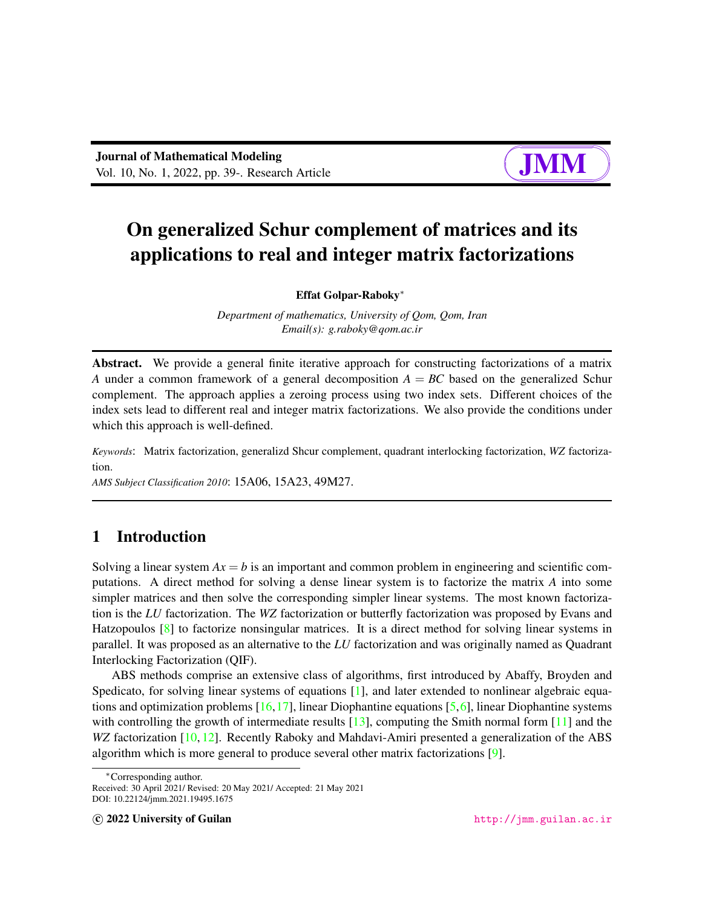# $\sqrt{a}$  $\overline{\phantom{a}}$

✘

∎ and

## On generalized Schur complement of matrices and its applications to real and integer matrix factorizations

Effat Golpar-Raboky<sup>∗</sup>

*Department of mathematics, University of Qom, Qom, Iran Email(s): g.raboky@qom.ac.ir*

Abstract. We provide a general finite iterative approach for constructing factorizations of a matrix *A* under a common framework of a general decomposition  $A = BC$  based on the generalized Schur complement. The approach applies a zeroing process using two index sets. Different choices of the index sets lead to different real and integer matrix factorizations. We also provide the conditions under which this approach is well-defined.

*Keywords*: Matrix factorization, generalizd Shcur complement, quadrant interlocking factorization, *WZ* factorization.

*AMS Subject Classification 2010*: 15A06, 15A23, 49M27.

## 1 Introduction

Solving a linear system  $Ax = b$  is an important and common problem in engineering and scientific computations. A direct method for solving a dense linear system is to factorize the matrix *A* into some simpler matrices and then solve the corresponding simpler linear systems. The most known factorization is the *LU* factorization. The *WZ* factorization or butterfly factorization was proposed by Evans and Hatzopoulos [\[8\]](#page-11-0) to factorize nonsingular matrices. It is a direct method for solving linear systems in parallel. It was proposed as an alternative to the *LU* factorization and was originally named as Quadrant Interlocking Factorization (QIF).

ABS methods comprise an extensive class of algorithms, first introduced by Abaffy, Broyden and Spedicato, for solving linear systems of equations [\[1\]](#page-11-1), and later extended to nonlinear algebraic equations and optimization problems [\[16,](#page-11-2)[17\]](#page-12-0), linear Diophantine equations [\[5,](#page-11-3)[6\]](#page-11-4), linear Diophantine systems with controlling the growth of intermediate results  $[13]$ , computing the Smith normal form  $[11]$  and the *WZ* factorization [\[10,](#page-11-7) [12\]](#page-11-8). Recently Raboky and Mahdavi-Amiri presented a generalization of the ABS algorithm which is more general to produce several other matrix factorizations [\[9\]](#page-11-9).

<sup>∗</sup>Corresponding author.

Received: 30 April 2021/ Revised: 20 May 2021/ Accepted: 21 May 2021 DOI: 10.22124/jmm.2021.19495.1675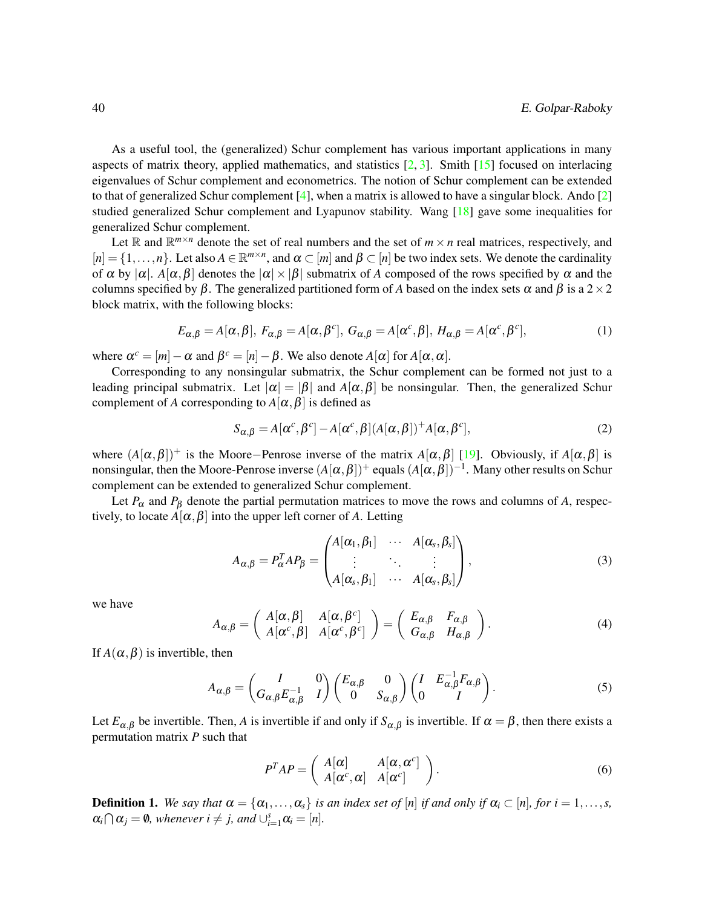As a useful tool, the (generalized) Schur complement has various important applications in many aspects of matrix theory, applied mathematics, and statistics  $[2, 3]$  $[2, 3]$  $[2, 3]$ . Smith  $[15]$  focused on interlacing eigenvalues of Schur complement and econometrics. The notion of Schur complement can be extended to that of generalized Schur complement  $[4]$ , when a matrix is allowed to have a singular block. Ando  $[2]$ studied generalized Schur complement and Lyapunov stability. Wang [\[18\]](#page-12-1) gave some inequalities for generalized Schur complement.

Let  $\mathbb{R}$  and  $\mathbb{R}^{m \times n}$  denote the set of real numbers and the set of  $m \times n$  real matrices, respectively, and  $[n] = \{1, \ldots, n\}$ . Let also  $A \in \mathbb{R}^{m \times n}$ , and  $\alpha \subset [m]$  and  $\beta \subset [n]$  be two index sets. We denote the cardinality of  $\alpha$  by  $|\alpha|$ . *A*[ $\alpha$ , $\beta$ ] denotes the  $|\alpha| \times |\beta|$  submatrix of *A* composed of the rows specified by  $\alpha$  and the columns specified by  $\beta$ . The generalized partitioned form of *A* based on the index sets  $\alpha$  and  $\beta$  is a 2 × 2 block matrix, with the following blocks:

$$
E_{\alpha,\beta} = A[\alpha,\beta], F_{\alpha,\beta} = A[\alpha,\beta^c], G_{\alpha,\beta} = A[\alpha^c,\beta], H_{\alpha,\beta} = A[\alpha^c,\beta^c],
$$
\n(1)

where  $\alpha^c = [m] - \alpha$  and  $\beta^c = [n] - \beta$ . We also denote  $A[\alpha]$  for  $A[\alpha, \alpha]$ .

Corresponding to any nonsingular submatrix, the Schur complement can be formed not just to a leading principal submatrix. Let  $|\alpha| = |\beta|$  and  $A[\alpha, \beta]$  be nonsingular. Then, the generalized Schur complement of *A* corresponding to  $A[\alpha, \beta]$  is defined as

$$
S_{\alpha,\beta} = A[\alpha^c, \beta^c] - A[\alpha^c, \beta](A[\alpha, \beta]) + A[\alpha, \beta^c],
$$
\n(2)

where  $(A[\alpha,\beta])^+$  is the Moore–Penrose inverse of the matrix  $A[\alpha,\beta]$  [\[19\]](#page-12-2). Obviously, if  $A[\alpha,\beta]$  is nonsingular, then the Moore-Penrose inverse  $(A[\alpha,\beta])^+$  equals  $(A[\alpha,\beta])^{-1}$ . Many other results on Schur complement can be extended to generalized Schur complement.

Let  $P_\alpha$  and  $P_\beta$  denote the partial permutation matrices to move the rows and columns of *A*, respectively, to locate  $A[\alpha, \beta]$  into the upper left corner of A. Letting

$$
A_{\alpha,\beta} = P_{\alpha}^T A P_{\beta} = \begin{pmatrix} A[\alpha_1,\beta_1] & \cdots & A[\alpha_s,\beta_s] \\ \vdots & \ddots & \vdots \\ A[\alpha_s,\beta_1] & \cdots & A[\alpha_s,\beta_s] \end{pmatrix},
$$
(3)

we have

$$
A_{\alpha,\beta} = \begin{pmatrix} A[\alpha,\beta] & A[\alpha,\beta^c] \\ A[\alpha^c,\beta] & A[\alpha^c,\beta^c] \end{pmatrix} = \begin{pmatrix} E_{\alpha,\beta} & F_{\alpha,\beta} \\ G_{\alpha,\beta} & H_{\alpha,\beta} \end{pmatrix}.
$$
 (4)

If  $A(\alpha, \beta)$  is invertible, then

<span id="page-1-0"></span>
$$
A_{\alpha,\beta} = \begin{pmatrix} I & 0 \\ G_{\alpha,\beta} E_{\alpha,\beta}^{-1} & I \end{pmatrix} \begin{pmatrix} E_{\alpha,\beta} & 0 \\ 0 & S_{\alpha,\beta} \end{pmatrix} \begin{pmatrix} I & E_{\alpha,\beta}^{-1} F_{\alpha,\beta} \\ 0 & I \end{pmatrix}.
$$
 (5)

Let  $E_{\alpha,\beta}$  be invertible. Then, *A* is invertible if and only if  $S_{\alpha,\beta}$  is invertible. If  $\alpha = \beta$ , then there exists a permutation matrix *P* such that

$$
P^{T}AP = \begin{pmatrix} A[\alpha] & A[\alpha, \alpha^{c}] \\ A[\alpha^{c}, \alpha] & A[\alpha^{c}] \end{pmatrix}.
$$
 (6)

**Definition 1.** We say that  $\alpha = {\alpha_1, \ldots, \alpha_s}$  *is an index set of* [*n*] *if and only if*  $\alpha_i \subset [n]$ *, for*  $i = 1, \ldots, s$ ,  $\alpha_i \cap \alpha_j = \emptyset$ , whenever  $i \neq j$ , and  $\cup_{i=1}^s \alpha_i = [n]$ .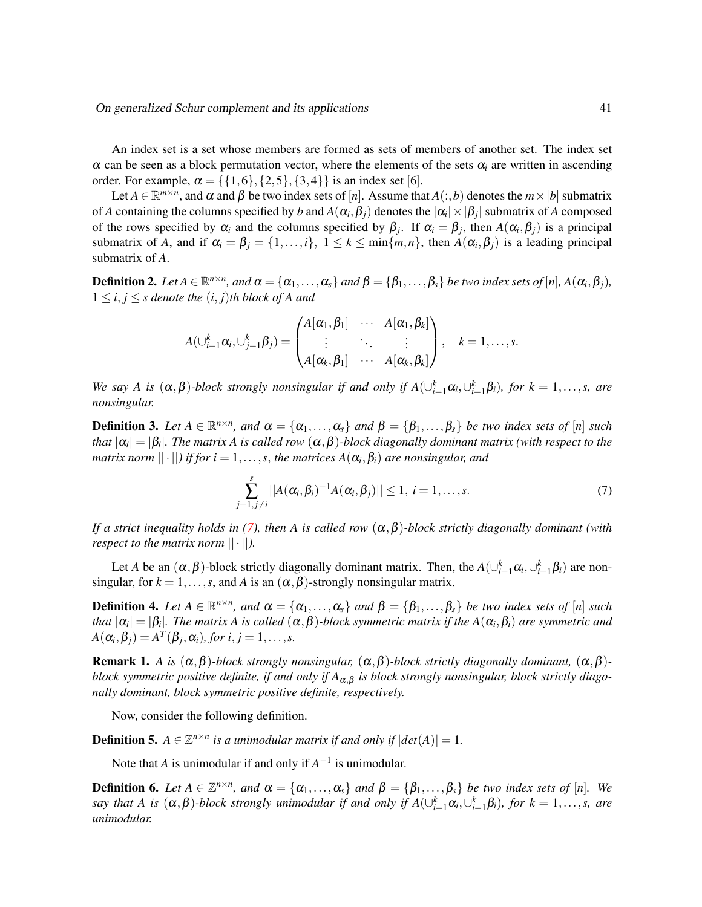An index set is a set whose members are formed as sets of members of another set. The index set  $\alpha$  can be seen as a block permutation vector, where the elements of the sets  $\alpha_i$  are written in ascending order. For example,  $\alpha = \{\{1,6\},\{2,5\},\{3,4\}\}\$ is an index set [6].

Let  $A \in \mathbb{R}^{m \times n}$ , and  $\alpha$  and  $\beta$  be two index sets of [*n*]. Assume that  $A(:,b)$  denotes the  $m \times |b|$  submatrix of *A* containing the columns specified by *b* and  $A(\alpha_i, \beta_j)$  denotes the  $|\alpha_i| \times |\beta_j|$  submatrix of *A* composed of the rows specified by  $\alpha_i$  and the columns specified by  $\beta_j$ . If  $\alpha_i = \beta_j$ , then  $A(\alpha_i, \beta_j)$  is a principal submatrix of *A*, and if  $\alpha_i = \beta_j = \{1, ..., i\}, 1 \leq k \leq \min\{m, n\}$ , then  $A(\alpha_i, \beta_j)$  is a leading principal submatrix of *A*.

**Definition 2.** Let  $A \in \mathbb{R}^{n \times n}$ , and  $\alpha = \{\alpha_1, \ldots, \alpha_s\}$  and  $\beta = \{\beta_1, \ldots, \beta_s\}$  be two index sets of [n],  $A(\alpha_i, \beta_j)$ ,  $1 \leq i, j \leq s$  denote the  $(i, j)$ <sup>th</sup> block of A and

$$
A(\cup_{i=1}^k \alpha_i, \cup_{j=1}^k \beta_j) = \begin{pmatrix} A[\alpha_1, \beta_1] & \cdots & A[\alpha_1, \beta_k] \\ \vdots & \ddots & \vdots \\ A[\alpha_k, \beta_1] & \cdots & A[\alpha_k, \beta_k] \end{pmatrix}, \quad k = 1, \ldots, s.
$$

*We say A is*  $(\alpha, \beta)$ -block strongly nonsingular if and only if  $A(\bigcup_{i=1}^{k} \alpha_i, \bigcup_{i=1}^{k} \beta_i)$ , for  $k = 1, \ldots, s$ , are *nonsingular.*

**Definition 3.** Let  $A \in \mathbb{R}^{n \times n}$ , and  $\alpha = \{\alpha_1, \ldots, \alpha_s\}$  and  $\beta = \{\beta_1, \ldots, \beta_s\}$  be two index sets of [n] such that  $|\alpha_i|=|\beta_i|.$  The matrix A is called row  $(\alpha,\beta)$ -block diagonally dominant matrix (with respect to the *matrix norm* ||·||*) if for i* = 1,...,*s*, *the matrices A*(α*<sup>i</sup>* ,β*i*) *are nonsingular, and*

<span id="page-2-0"></span>
$$
\sum_{j=1,j\neq i}^{s} ||A(\alpha_i,\beta_i)^{-1}A(\alpha_i,\beta_j)|| \leq 1, \ i=1,\ldots,s.
$$
 (7)

*If a strict inequality holds in [\(7\)](#page-2-0), then A is called row*  $(\alpha, \beta)$ *-block strictly diagonally dominant (with respect to the matrix norm*  $|| \cdot ||$ *).* 

Let *A* be an  $(\alpha, \beta)$ -block strictly diagonally dominant matrix. Then, the  $A(\cup_{i=1}^k \alpha_i, \cup_{i=1}^k \beta_i)$  are nonsingular, for  $k = 1, \ldots, s$ , and *A* is an  $(\alpha, \beta)$ -strongly nonsingular matrix.

**Definition 4.** Let  $A \in \mathbb{R}^{n \times n}$ , and  $\alpha = \{\alpha_1, \ldots, \alpha_s\}$  and  $\beta = \{\beta_1, \ldots, \beta_s\}$  be two index sets of [n] such that  $|\alpha_i|=|\beta_i|.$  The matrix A is called  $(\alpha,\beta)$ -block symmetric matrix if the  $A(\alpha_i,\beta_i)$  are symmetric and  $A(\alpha_i, \beta_j) = A^T(\beta_j, \alpha_i)$ , for  $i, j = 1, \ldots, s$ .

Remark 1. *A is* (α,β)*-block strongly nonsingular,* (α,β)*-block strictly diagonally dominant,* (α,β) *block symmetric positive definite, if and only if A*α,<sup>β</sup> *is block strongly nonsingular, block strictly diagonally dominant, block symmetric positive definite, respectively.*

Now, consider the following definition.

**Definition 5.**  $A \in \mathbb{Z}^{n \times n}$  is a unimodular matrix if and only if  $|det(A)| = 1$ .

Note that *A* is unimodular if and only if  $A^{-1}$  is unimodular.

**Definition 6.** Let  $A \in \mathbb{Z}^{n \times n}$ , and  $\alpha = \{\alpha_1, \ldots, \alpha_s\}$  and  $\beta = \{\beta_1, \ldots, \beta_s\}$  be two index sets of [n]. We *say that A is*  $(\alpha, \beta)$ -block strongly unimodular if and only if  $A(\bigcup_{i=1}^{k} \alpha_i, \bigcup_{i=1}^{k} \beta_i)$ , for  $k = 1, \ldots, s$ , are *unimodular.*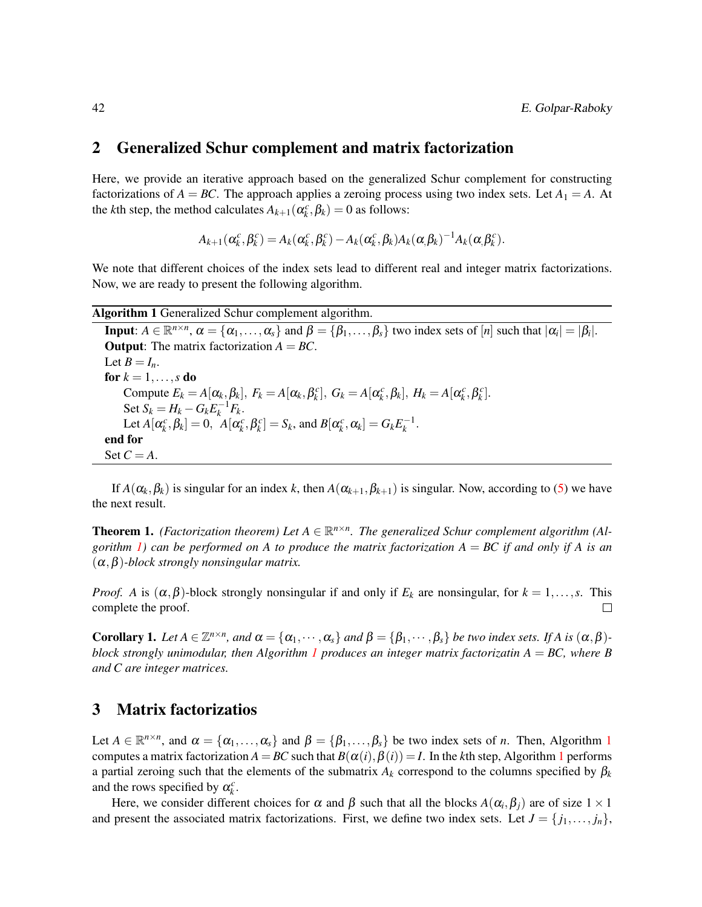#### 2 Generalized Schur complement and matrix factorization

Here, we provide an iterative approach based on the generalized Schur complement for constructing factorizations of  $A = BC$ . The approach applies a zeroing process using two index sets. Let  $A_1 = A$ . At the *k*th step, the method calculates  $A_{k+1}(\alpha_k^c, \beta_k) = 0$  as follows:

$$
A_{k+1}(\alpha_k^c, \beta_k^c) = A_k(\alpha_k^c, \beta_k^c) - A_k(\alpha_k^c, \beta_k)A_k(\alpha_k^c, \beta_k)^{-1}A_k(\alpha_k^c, \beta_k^c).
$$

We note that different choices of the index sets lead to different real and integer matrix factorizations. Now, we are ready to present the following algorithm.

<span id="page-3-0"></span>Algorithm 1 Generalized Schur complement algorithm.

**Input**:  $A \in \mathbb{R}^{n \times n}$ ,  $\alpha = {\alpha_1, ..., \alpha_s}$  and  $\beta = {\beta_1, ..., \beta_s}$  two index sets of [*n*] such that  $|\alpha_i| = |\beta_i|$ . **Output:** The matrix factorization  $A = BC$ . Let  $B = I_n$ . for  $k = 1, \ldots, s$  do Compute  $E_k = A[\alpha_k, \beta_k], F_k = A[\alpha_k, \beta_k]$ ,  $G_k = A[\alpha_k^c, \beta_k], H_k = A[\alpha_k^c, \beta_k^c]$ .  $\text{Set } S_k = H_k - G_k E_k^{-1} F_k.$ Let  $A[\alpha_k^c, \beta_k] = 0$ ,  $A[\alpha_k^c, \beta_k^c] = S_k$ , and  $B[\alpha_k^c, \alpha_k] = G_k E_k^{-1}$ . end for Set  $C = A$ .

If  $A(\alpha_k, \beta_k)$  is singular for an index *k*, then  $A(\alpha_{k+1}, \beta_{k+1})$  is singular. Now, according to [\(5\)](#page-1-0) we have the next result.

**Theorem 1.** (Factorization theorem) Let  $A \in \mathbb{R}^{n \times n}$ . The generalized Schur complement algorithm (Al*gorithm 1*) can be performed on A to produce the matrix factorization  $A = BC$  if and only if A is an (α,β)*-block strongly nonsingular matrix.*

*Proof. A* is  $(\alpha, \beta)$ -block strongly nonsingular if and only if  $E_k$  are nonsingular, for  $k = 1, \ldots, s$ . This complete the proof.  $\Box$ 

**Corollary 1.** Let  $A \in \mathbb{Z}^{n \times n}$ , and  $\alpha = {\alpha_1, \dots, \alpha_s}$  and  $\beta = {\beta_1, \dots, \beta_s}$  be two index sets. If A is  $(\alpha, \beta)$ *block strongly unimodular, then Algorithm [1](#page-3-0) produces an integer matrix factorizatin A* = *BC, where B and C are integer matrices.*

#### 3 Matrix factorizatios

Let  $A \in \mathbb{R}^{n \times n}$ , and  $\alpha = {\alpha_1, \ldots, \alpha_s}$  $\alpha = {\alpha_1, \ldots, \alpha_s}$  $\alpha = {\alpha_1, \ldots, \alpha_s}$  and  $\beta = {\beta_1, \ldots, \beta_s}$  be two index sets of *n*. Then, Algorithm 1 computes a matrix factorization  $A = BC$  such that  $B(\alpha(i), \beta(i)) = I$ . In the *k*th step, Algorithm [1](#page-3-0) performs a partial zeroing such that the elements of the submatrix  $A_k$  correspond to the columns specified by  $\beta_k$ and the rows specified by  $\alpha_k^c$ .

Here, we consider different choices for  $\alpha$  and  $\beta$  such that all the blocks  $A(\alpha_i, \beta_j)$  are of size  $1 \times 1$ and present the associated matrix factorizations. First, we define two index sets. Let  $J = \{j_1, \ldots, j_n\}$ ,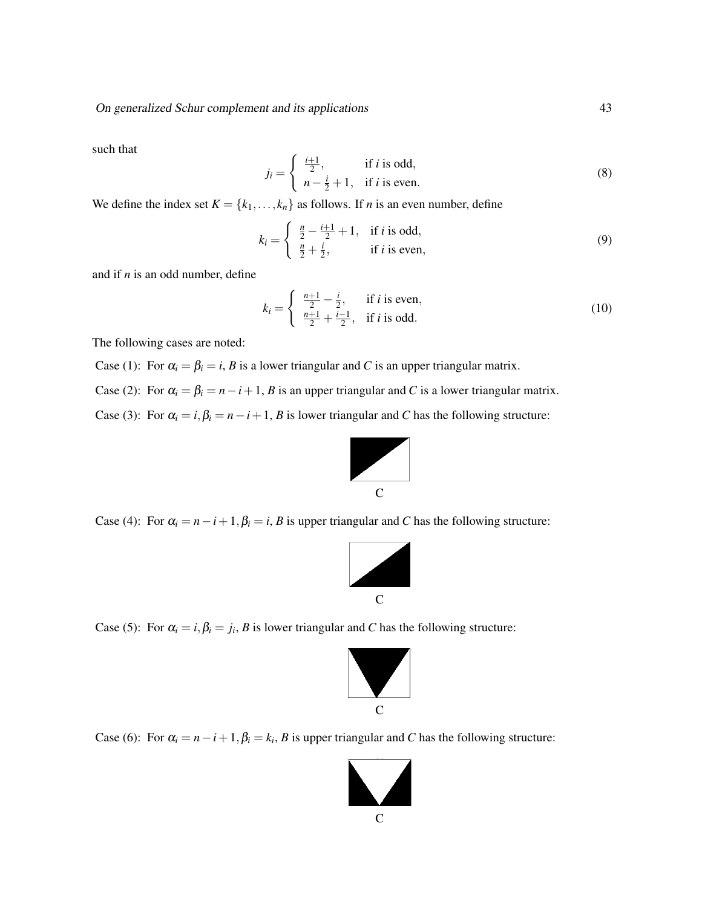such that

$$
j_i = \begin{cases} \frac{i+1}{2}, & \text{if } i \text{ is odd,} \\ n - \frac{i}{2} + 1, & \text{if } i \text{ is even.} \end{cases}
$$
 (8)

We define the index set  $K = \{k_1, \ldots, k_n\}$  as follows. If *n* is an even number, define

$$
k_i = \begin{cases} \frac{n}{2} - \frac{i+1}{2} + 1, & \text{if } i \text{ is odd,} \\ \frac{n}{2} + \frac{i}{2}, & \text{if } i \text{ is even,} \end{cases}
$$
(9)

and if *n* is an odd number, define

$$
k_i = \begin{cases} \frac{n+1}{2} - \frac{i}{2}, & \text{if } i \text{ is even,} \\ \frac{n+1}{2} + \frac{i-1}{2}, & \text{if } i \text{ is odd.} \end{cases}
$$
 (10)

The following cases are noted:

Case (1): For  $\alpha_i = \beta_i = i$ , *B* is a lower triangular and *C* is an upper triangular matrix.

Case (2): For  $\alpha_i = \beta_i = n - i + 1$ , *B* is an upper triangular and *C* is a lower triangular matrix.

Case (3): For  $\alpha_i = i, \beta_i = n - i + 1$ , *B* is lower triangular and *C* has the following structure:



Case (4): For  $\alpha_i = n - i + 1$ ,  $\beta_i = i$ , *B* is upper triangular and *C* has the following structure:



Case (5): For  $\alpha_i = i, \beta_i = j_i, B$  is lower triangular and *C* has the following structure:



Case (6): For  $\alpha_i = n - i + 1$ ,  $\beta_i = k_i$ , *B* is upper triangular and *C* has the following structure:

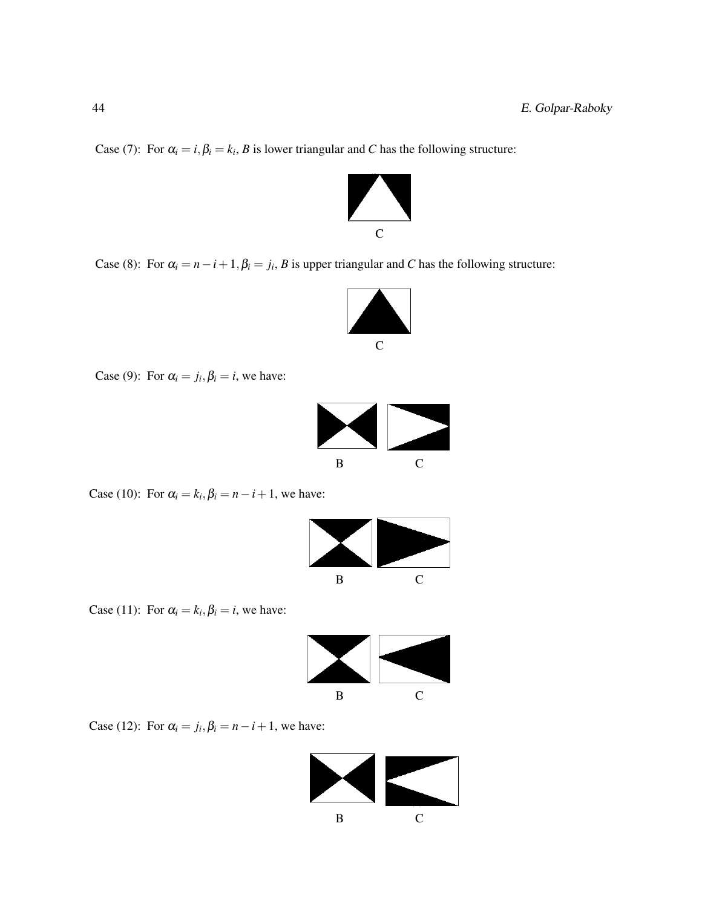Case (7): For  $\alpha_i = i, \beta_i = k_i, B$  is lower triangular and *C* has the following structure:



Case (8): For  $\alpha_i = n - i + 1$ ,  $\beta_i = j_i$ , *B* is upper triangular and *C* has the following structure:



Case (9): For  $\alpha_i = j_i, \beta_i = i$ , we have:



Case (10): For  $\alpha_i = k_i, \beta_i = n - i + 1$ , we have:



Case (11): For  $\alpha_i = k_i, \beta_i = i$ , we have:



Case (12): For  $\alpha_i = j_i, \beta_i = n - i + 1$ , we have:

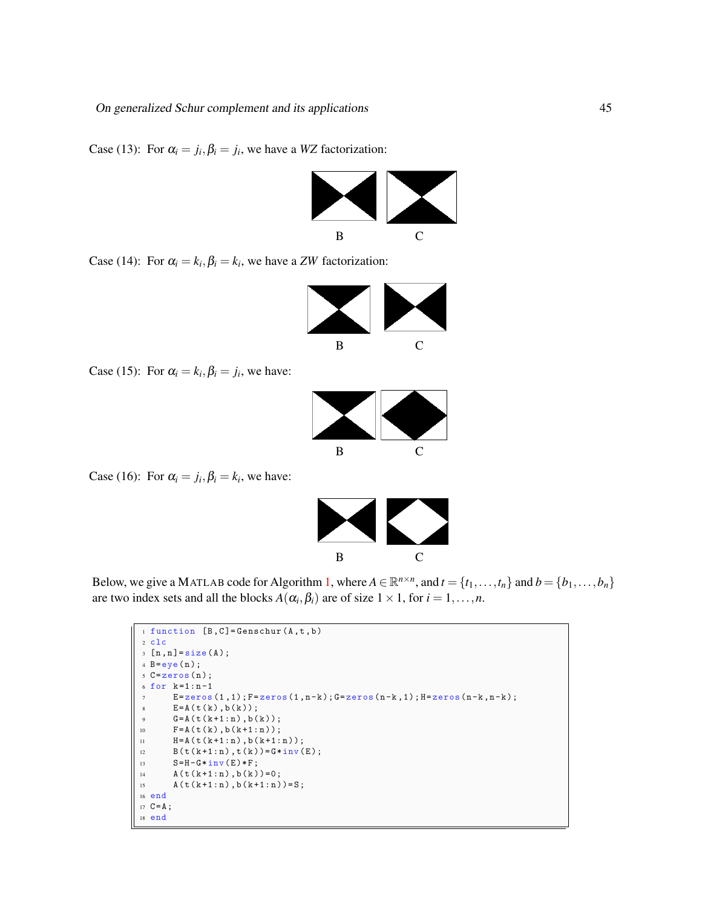Case (13): For  $\alpha_i = j_i$ ,  $\beta_i = j_i$ , we have a *WZ* factorization:



Case (14): For  $\alpha_i = k_i, \beta_i = k_i$ , we have a *ZW* factorization:



Case (15): For  $\alpha_i = k_i, \beta_i = j_i$ , we have:



Case (16): For  $\alpha_i = j_i, \beta_i = k_i$ , we have:



Below, we give a MATLAB code for Algorithm [1,](#page-3-0) where  $A \in \mathbb{R}^{n \times n}$ , and  $t = \{t_1, \ldots, t_n\}$  and  $b = \{b_1, \ldots, b_n\}$ are two index sets and all the blocks  $A(\alpha_i, \beta_i)$  are of size  $1 \times 1$ , for  $i = 1, \ldots, n$ .

```
1 function [B, C] = Genschur (A, t, b)2 clc
 3 [n, n] = size(A);4 B=eye(n);
 5 C = 0 zeros (n);k = 1 : n - 1E = \texttt{zeros}(1\,,1) \, ; \, F = \texttt{zeros}(1\,,n-k) \, ; \, G = \texttt{zeros}(n-k\,,1) \, ; \, H = \texttt{zeros}(n-k\,,n-k) \, ;\texttt{E=A(t(k),b(k));}G = A(t(k + 1:n), b(k));{\bf F}\!=\!{\bf A}\;({\bf t}\;({\bf k})\;,{\bf b}\;({\bf k}\!+\!1\!:\!{\bf n}\,)\;)\;;H = A(t(k+1:n), b(k+1:n));12 B ( t ( k + 1 : n ) , t ( k ) ) = G * inv ( E ) ;<br>
S = H - G * inv(E) * F;
13 S = H - G * inv(E) * F;<br>
A(t(k+1:n), b(k))A(t(k+1:n), b(k))=0;15 A(t(k+1:n), b(k+1:n)) = S;16 end
17 \text{ } C = A;18 end
```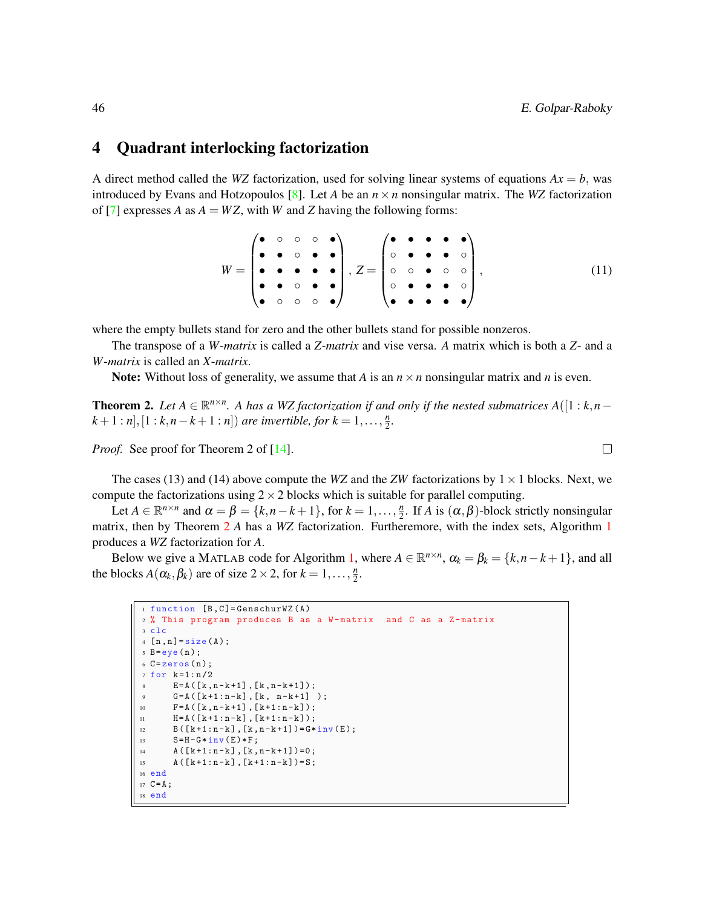#### 4 Quadrant interlocking factorization

A direct method called the *WZ* factorization, used for solving linear systems of equations  $Ax = b$ , was introduced by Evans and Hotzopoulos [\[8\]](#page-11-0). Let *A* be an  $n \times n$  nonsingular matrix. The *WZ* factorization of [\[7\]](#page-11-14) expresses *A* as  $A = WZ$ , with *W* and *Z* having the following forms:

$$
W = \begin{pmatrix} \bullet & \circ & \circ & \circ & \bullet \\ \bullet & \bullet & \circ & \bullet & \bullet \\ \bullet & \bullet & \bullet & \bullet & \bullet \\ \bullet & \circ & \circ & \bullet & \bullet \end{pmatrix}, Z = \begin{pmatrix} \bullet & \bullet & \bullet & \bullet & \bullet \\ \circ & \bullet & \bullet & \bullet & \circ \\ \circ & \circ & \bullet & \circ & \circ \\ \bullet & \bullet & \bullet & \bullet & \bullet \end{pmatrix}, \tag{11}
$$

where the empty bullets stand for zero and the other bullets stand for possible nonzeros.

The transpose of a *W*-*matrix* is called a *Z*-*matrix* and vise versa. *A* matrix which is both a *Z*- and a *W*-*matrix* is called an *X*-*matrix*.

Note: Without loss of generality, we assume that *A* is an  $n \times n$  nonsingular matrix and *n* is even.

<span id="page-7-0"></span>**Theorem 2.** Let  $A \in \mathbb{R}^{n \times n}$ . A has a WZ factorization if and only if the nested submatrices  $A([1:k,n-1])$  $(k+1:n], [1:k, n-k+1:n]$  *are invertible, for*  $k = 1, ..., \frac{n}{2}$  $\frac{n}{2}$ .

*Proof.* See proof for Theorem 2 of [\[14\]](#page-11-15).

The cases (13) and (14) above compute the *WZ* and the *ZW* factorizations by  $1 \times 1$  blocks. Next, we compute the factorizations using  $2 \times 2$  blocks which is suitable for parallel computing.

Let  $A \in \mathbb{R}^{n \times n}$  and  $\alpha = \beta = \{k, n-k+1\}$ , for  $k = 1, \ldots, \frac{n}{2}$  $\frac{n}{2}$ . If *A* is  $(\alpha, \beta)$ -block strictly nonsingular matrix, then by Theorem [2](#page-7-0) *A* has a *WZ* factorization. Furtheremore, with the index sets, Algorithm [1](#page-3-0) produces a *WZ* factorization for *A*.

Below we give a MATLAB code for Algorithm [1,](#page-3-0) where  $A \in \mathbb{R}^{n \times n}$ ,  $\alpha_k = \beta_k = \{k, n - k + 1\}$ , and all the blocks  $A(\alpha_k, \beta_k)$  are of size  $2 \times 2$ , for  $k = 1, \ldots, \frac{n}{2}$  $\frac{n}{2}$ .

```
1 function [B.C]=GenschurWZ(A)
2 % This program produces B as a W-matrix and C as a Z-matrix
3 clc
4 [n, n] = size(A);5 B = eye(n);6 C =zeros(n);
7 for k=1:n/2\texttt{E=A} \left( \left[ \texttt{k} \texttt{,} \texttt{n-k+1} \right] \texttt{,} \left[ \texttt{k} \texttt{,} \texttt{n-k+1} \right] \right);9 G = A ([k+1:n-k], [k, n-k+1]);
10 F = A ([k, n-k+1], [k+1:n-k]);
{\tt H = A \, (\, [\,k+1:n-k\,] \,\, ,\, [\,k+1:n-k\,] \, \, )} \,\, ;B([k+1:n-k], [k, n-k+1]) = G * inv(E);13 S = H - G * inv(E) * F;14 A([k+1:n-k], [k, n-k+1])=0;15 A([k+1:n-k], [k+1:n-k]) = S;16 end
17 \text{ } C = A;18 end
```
 $\Box$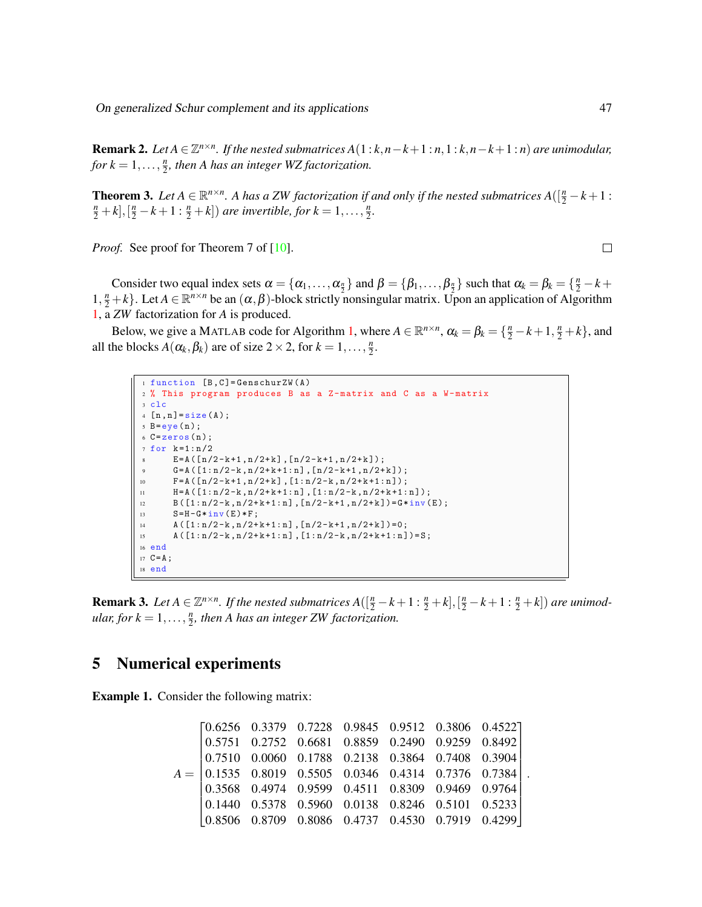On generalized Schur complement and its applications 47

**Remark 2.** Let  $A \in \mathbb{Z}^{n \times n}$ . If the nested submatrices  $A(1:k,n-k+1:n,1:k,n-k+1:n)$  are unimodular, *for*  $k = 1, \ldots, \frac{n}{2}$  $\frac{n}{2}$ , then A has an integer WZ factorization.

**Theorem 3.** Let  $A \in \mathbb{R}^{n \times n}$ . A has a ZW factorization if and only if the nested submatrices  $A([\frac{n}{2} - k + 1 :$  $(\frac{n}{2} + k], [\frac{n}{2} - k + 1 : \frac{n}{2} + k])$  are invertible, for  $k = 1, ..., \frac{n}{2}$  $\frac{n}{2}$ .

*Proof.* See proof for Theorem 7 of [\[10\]](#page-11-7).

Consider two equal index sets  $\alpha = {\alpha_1, ..., \alpha_n}$  and  $\beta = {\beta_1, ..., \beta_n}$  such that  $\alpha_k = \beta_k = {\frac{n}{2} - k + \frac{1}{2}}$  $1, \frac{n}{2} + k$ . Let  $A \in \mathbb{R}^{n \times n}$  be an  $(\alpha, \beta)$ -block strictly nonsingular matrix. Upon an application of Algorithm [1,](#page-3-0) a *ZW* factorization for *A* is produced.

Below, we give a MATLAB code for Algorithm [1,](#page-3-0) where  $A \in \mathbb{R}^{n \times n}$ ,  $\alpha_k = \beta_k = \{\frac{n}{2} - k + 1, \frac{n}{2} + k\}$ , and all the blocks  $A(\alpha_k, \beta_k)$  are of size  $2 \times 2$ , for  $k = 1, \ldots, \frac{n}{2}$  $\frac{n}{2}$ .

```
1 function [B, C] = GenschurZW(A)
2 % This program produces B as a Z- matrix and C as a W- matrix
3 clc
4 [n, n] = size(A);5 B = eye(n);6 C = zeros (n);
7 for k=1:n/2E = A ([n/2 - k + 1, n/2 + k], [n/2 - k + 1, n/2 + k]);
      G = A ([1:n/2-k, n/2+k+1:n], [n/2-k+1, n/2+k]);
10 F = A ([n/2-k+1, n/2+k], [1:n/2-k, n/2+k+1:n]);
11 H = A ([1:n/2-k, n/2+k+1:n], [1:n/2-k, n/2+k+1:n]);
12 B ([1: n/2-k, n/2+k+1: n], [n/2-k+1, n/2+k]) = G*inv (E);
13 S = H - G * inv(E) * F;14 A([1:n/2-k, n/2+k+1:n], [n/2-k+1, n/2+k])=0;15 A([1:n/2-k, n/2+k+1:n], [1:n/2-k, n/2+k+1:n]) = S;16 end
17 \text{ } C = A;18 end
```
**Remark 3.** Let  $A \in \mathbb{Z}^{n \times n}$ . If the nested submatrices  $A([\frac{n}{2} - k + 1 : \frac{n}{2} + k], [\frac{n}{2} - k + 1 : \frac{n}{2} + k])$  are unimod*ular, for*  $k = 1, \ldots, \frac{n}{2}$  $\frac{n}{2}$ , then A has an integer ZW factorization.

### 5 Numerical experiments

Example 1. Consider the following matrix:

$$
A = \begin{bmatrix} 0.6256 & 0.3379 & 0.7228 & 0.9845 & 0.9512 & 0.3806 & 0.4522 \\ 0.5751 & 0.2752 & 0.6681 & 0.8859 & 0.2490 & 0.9259 & 0.8492 \\ 0.7510 & 0.0060 & 0.1788 & 0.2138 & 0.3864 & 0.7408 & 0.3904 \\ 0.1535 & 0.8019 & 0.5505 & 0.0346 & 0.4314 & 0.7376 & 0.7384 \\ 0.3568 & 0.4974 & 0.9599 & 0.4511 & 0.8309 & 0.9469 & 0.9764 \\ 0.1440 & 0.5378 & 0.5960 & 0.0138 & 0.8246 & 0.5101 & 0.5233 \\ 0.8506 & 0.8709 & 0.8086 & 0.4737 & 0.4530 & 0.7919 & 0.4299 \end{bmatrix}
$$

.

 $\Box$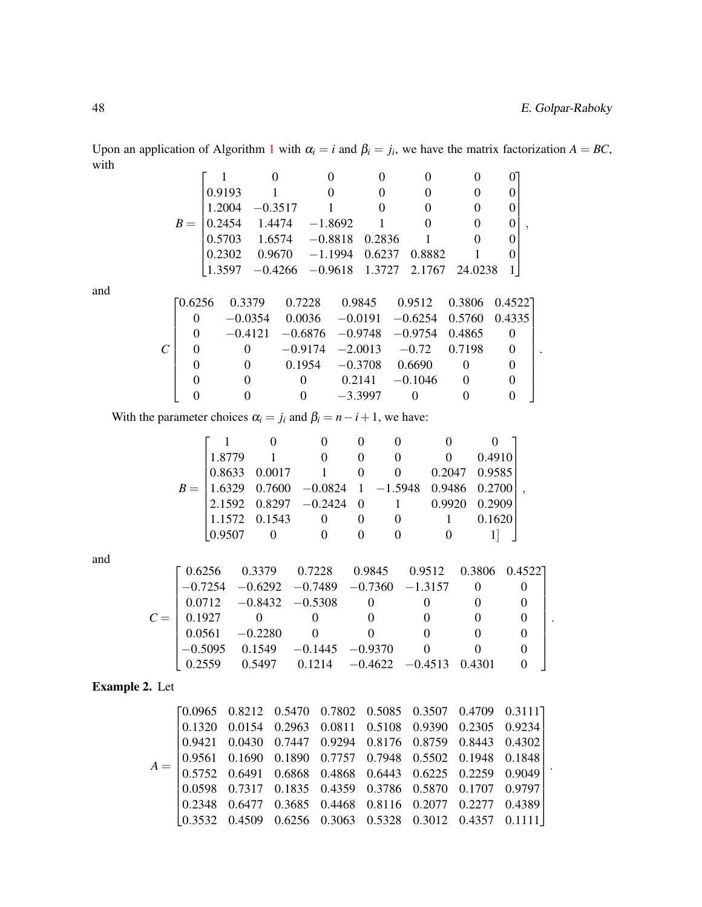.

Upon an application of Algorithm [1](#page-3-0) with  $\alpha_i = i$  and  $\beta_i = j_i$ , we have the matrix factorization  $A = BC$ , with

|       | 0.9193 |                                                                                        |        |        |               |  |
|-------|--------|----------------------------------------------------------------------------------------|--------|--------|---------------|--|
|       |        | $1.2004 -0.3517$                                                                       |        |        |               |  |
| $B =$ |        | $\begin{bmatrix} 0.2454 & 1.4474 & -1.8692 \end{bmatrix}$                              |        |        |               |  |
|       |        | $0.5703$ $1.6574$ $-0.8818$ $0.2836$ 1                                                 |        |        |               |  |
|       |        | $0.2302$ $0.9670$ $-1.1994$ $0.6237$ $0.8882$                                          |        |        |               |  |
|       |        | $\begin{bmatrix} 1.3597 & -0.4266 & -0.9618 & 1.3727 & 2.1767 & 24.0238 \end{bmatrix}$ |        |        |               |  |
|       |        |                                                                                        |        |        |               |  |
|       |        | 0.7228<br>0.3379                                                                       | 0.9845 | 0.9512 | 0.3806 0.4522 |  |

and

With the parameter choices  $\alpha_i = j_i$  and  $\beta_i = n - i + 1$ , we have:

| 1.8779          |               | $\theta$                                                                                                                                             |          |          |               | 0.4910 |  |
|-----------------|---------------|------------------------------------------------------------------------------------------------------------------------------------------------------|----------|----------|---------------|--------|--|
|                 | 0.8633 0.0017 |                                                                                                                                                      | $\theta$ | $\theta$ | 0.2047 0.9585 |        |  |
|                 |               | $B = \begin{bmatrix} 1.6329 & 0.7600 & -0.0824 & 1 & -1.5948 & 0.9486 & 0.2700 \\ 2.1592 & 0.8297 & -0.2424 & 0 & 1 & 0.9920 & 0.2909 \end{bmatrix}$ |          |          |               |        |  |
|                 |               |                                                                                                                                                      |          |          |               |        |  |
| $1.1572$ 0.1543 |               | $\theta$                                                                                                                                             |          |          |               | 0.1620 |  |
| 0.9507          |               |                                                                                                                                                      |          |          |               |        |  |

and

|       |         | $\begin{bmatrix} 0.6256 & 0.3379 & 0.7228 & 0.9845 & 0.9512 & 0.3806 & 0.4522 \end{bmatrix}$ |                                                |  |  |  |
|-------|---------|----------------------------------------------------------------------------------------------|------------------------------------------------|--|--|--|
|       |         | $-0.7254$ $-0.6292$ $-0.7489$ $-0.7360$ $-1.3157$                                            |                                                |  |  |  |
|       |         | $0.0712 -0.8432 -0.5308$                                                                     |                                                |  |  |  |
| $C =$ | 10.1927 |                                                                                              |                                                |  |  |  |
|       |         | $0.0561 -0.2280$                                                                             | $\overline{0}$                                 |  |  |  |
|       |         | $-0.5095$ 0.1549 $-0.1445$ $-0.9370$                                                         |                                                |  |  |  |
|       | LO 2559 |                                                                                              | $0.5497$ $0.1214$ $-0.4622$ $-0.4513$ $0.4301$ |  |  |  |

Example 2. Let

| $\begin{bmatrix} 0.0965 & 0.8212 & 0.5470 & 0.7802 & 0.5085 & 0.3507 & 0.4709 & 0.3111 \\ 0.1320 & 0.0154 & 0.2963 & 0.0811 & 0.5108 & 0.9390 & 0.2305 & 0.9234 \\ 0.9421 & 0.0430 & 0.7447 & 0.9294 & 0.8176 & 0.8759 & 0.8443 & 0.4302 \\ 0.9561 & 0.1690 & 0.189$<br>$A =$ |  |  |  |  |  |
|-------------------------------------------------------------------------------------------------------------------------------------------------------------------------------------------------------------------------------------------------------------------------------|--|--|--|--|--|
|                                                                                                                                                                                                                                                                               |  |  |  |  |  |
|                                                                                                                                                                                                                                                                               |  |  |  |  |  |
|                                                                                                                                                                                                                                                                               |  |  |  |  |  |
|                                                                                                                                                                                                                                                                               |  |  |  |  |  |
|                                                                                                                                                                                                                                                                               |  |  |  |  |  |
|                                                                                                                                                                                                                                                                               |  |  |  |  |  |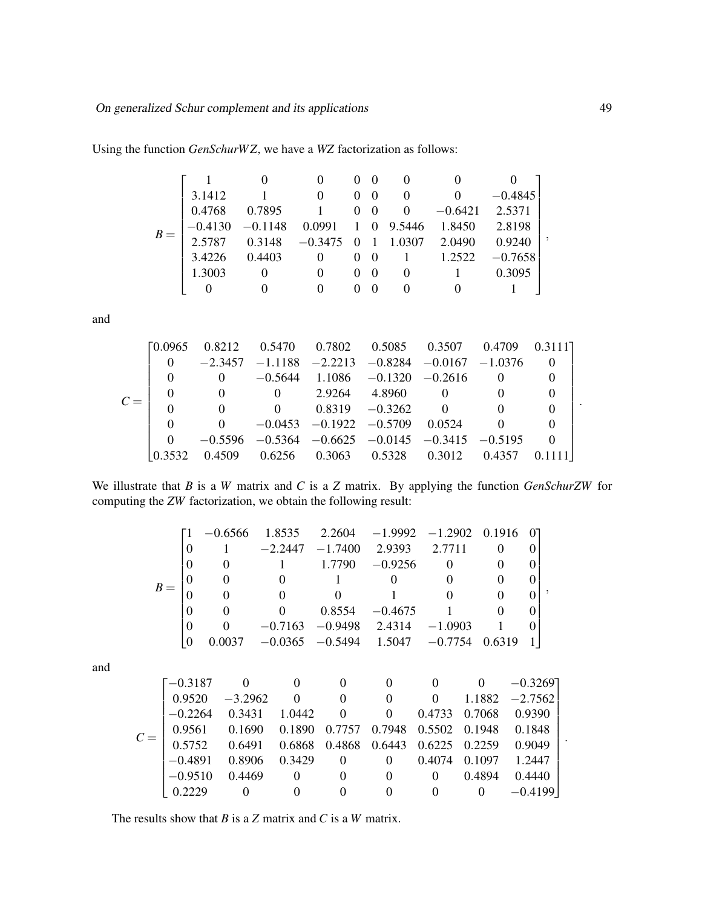Using the function *GenSchurW Z*, we have a *WZ* factorization as follows:

$$
B = \begin{bmatrix} 1 & 0 & 0 & 0 & 0 & 0 & 0 & 0 & 0 \\ 3.1412 & 1 & 0 & 0 & 0 & 0 & 0 & -0.4845 \\ 0.4768 & 0.7895 & 1 & 0 & 0 & 0 & -0.6421 & 2.5371 \\ -0.4130 & -0.1148 & 0.0991 & 1 & 0 & 9.5446 & 1.8450 & 2.8198 \\ 2.5787 & 0.3148 & -0.3475 & 0 & 1 & 1.0307 & 2.0490 & 0.9240 \\ 3.4226 & 0.4403 & 0 & 0 & 0 & 1 & 1.2522 & -0.7658 \\ 1.3003 & 0 & 0 & 0 & 0 & 0 & 1 & 0.3095 \\ 0 & 0 & 0 & 0 & 0 & 0 & 0 & 1 \end{bmatrix},
$$

and

$$
C = \left[\begin{matrix} 0.0965 & 0.8212 & 0.5470 & 0.7802 & 0.5085 & 0.3507 & 0.4709 & 0.3111 \\ 0 & -2.3457 & -1.1188 & -2.2213 & -0.8284 & -0.0167 & -1.0376 & 0 \\ 0 & 0 & -0.5644 & 1.1086 & -0.1320 & -0.2616 & 0 & 0 \\ 0 & 0 & 0 & 2.9264 & 4.8960 & 0 & 0 & 0 \\ 0 & 0 & 0 & 0.8319 & -0.3262 & 0 & 0 & 0 \\ 0 & 0 & -0.0453 & -0.1922 & -0.5709 & 0.0524 & 0 & 0 \\ 0 & -0.5596 & -0.5364 & -0.6625 & -0.0145 & -0.3415 & -0.5195 & 0 \\ 0.3532 & 0.4509 & 0.6256 & 0.3063 & 0.5328 & 0.3012 & 0.4357 & 0.1111 \end{matrix}\right].
$$

We illustrate that *B* is a *W* matrix and *C* is a *Z* matrix. By applying the function *GenSchurZW* for computing the *ZW* factorization, we obtain the following result:

|  |  | $-0.6566$ 1.8535 2.2604 $-1.9992$ $-1.2902$ 0.1916 0 |                                      |           |           |  |  |
|--|--|------------------------------------------------------|--------------------------------------|-----------|-----------|--|--|
|  |  | $-2.2447$                                            | $-1.7400$ 2.9393                     |           | 2.7711    |  |  |
|  |  |                                                      | 1.7790                               | $-0.9256$ |           |  |  |
|  |  |                                                      |                                      |           |           |  |  |
|  |  |                                                      |                                      |           |           |  |  |
|  |  |                                                      | 0.8554                               | $-0.4675$ |           |  |  |
|  |  |                                                      | $-0.7163$ $-0.9498$                  | 2.4314    | $-1.0903$ |  |  |
|  |  |                                                      | $-0.0365$ $-0.5494$ 1.5047 $-0.7754$ |           |           |  |  |

and

$$
C = \left[\begin{matrix} -0.3187 & 0 & 0 & 0 & 0 & 0 & 0 & -0.3269 \\ 0.9520 & -3.2962 & 0 & 0 & 0 & 0 & 1.1882 & -2.7562 \\ -0.2264 & 0.3431 & 1.0442 & 0 & 0 & 0.4733 & 0.7068 & 0.9390 \\ 0.9561 & 0.1690 & 0.1890 & 0.7757 & 0.7948 & 0.5502 & 0.1948 & 0.1848 \\ 0.5752 & 0.6491 & 0.6868 & 0.4868 & 0.6443 & 0.6225 & 0.2259 & 0.9049 \\ -0.4891 & 0.8906 & 0.3429 & 0 & 0 & 0.4074 & 0.1097 & 1.2447 \\ -0.9510 & 0.4469 & 0 & 0 & 0 & 0 & 0.4894 & 0.4440 \\ 0.2229 & 0 & 0 & 0 & 0 & 0 & 0 & -0.4199 \end{matrix}\right].
$$

The results show that *B* is a *Z* matrix and *C* is a *W* matrix.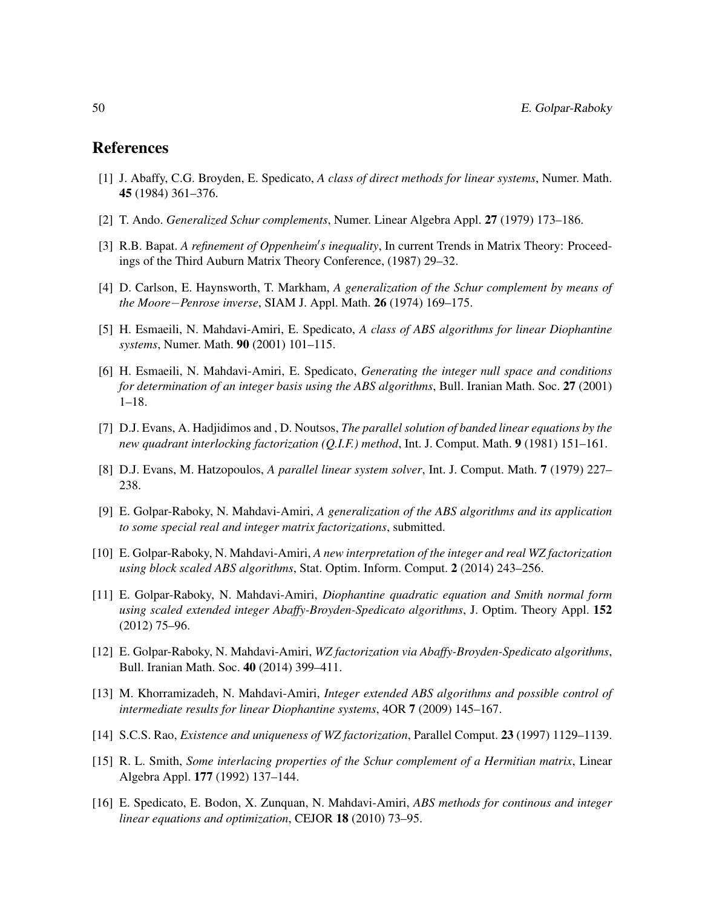#### References

- <span id="page-11-1"></span>[1] J. Abaffy, C.G. Broyden, E. Spedicato, *A class of direct methods for linear systems*, Numer. Math. 45 (1984) 361–376.
- <span id="page-11-10"></span>[2] T. Ando. *Generalized Schur complements*, Numer. Linear Algebra Appl. 27 (1979) 173–186.
- <span id="page-11-11"></span>[3] R.B. Bapat. A refinement of Oppenheim's inequality, In current Trends in Matrix Theory: Proceedings of the Third Auburn Matrix Theory Conference, (1987) 29–32.
- <span id="page-11-13"></span>[4] D. Carlson, E. Haynsworth, T. Markham, *A generalization of the Schur complement by means of the Moore*−*Penrose inverse*, SIAM J. Appl. Math. 26 (1974) 169–175.
- <span id="page-11-3"></span>[5] H. Esmaeili, N. Mahdavi-Amiri, E. Spedicato, *A class of ABS algorithms for linear Diophantine systems*, Numer. Math. 90 (2001) 101–115.
- <span id="page-11-4"></span>[6] H. Esmaeili, N. Mahdavi-Amiri, E. Spedicato, *Generating the integer null space and conditions for determination of an integer basis using the ABS algorithms*, Bull. Iranian Math. Soc. 27 (2001) 1–18.
- <span id="page-11-14"></span>[7] D.J. Evans, A. Hadjidimos and , D. Noutsos, *The parallel solution of banded linear equations by the new quadrant interlocking factorization (Q.I.F.) method*, Int. J. Comput. Math. 9 (1981) 151–161.
- <span id="page-11-0"></span>[8] D.J. Evans, M. Hatzopoulos, *A parallel linear system solver*, Int. J. Comput. Math. 7 (1979) 227– 238.
- <span id="page-11-9"></span>[9] E. Golpar-Raboky, N. Mahdavi-Amiri, *A generalization of the ABS algorithms and its application to some special real and integer matrix factorizations*, submitted.
- <span id="page-11-7"></span>[10] E. Golpar-Raboky, N. Mahdavi-Amiri, *A new interpretation of the integer and real WZ factorization using block scaled ABS algorithms*, Stat. Optim. Inform. Comput. 2 (2014) 243–256.
- <span id="page-11-6"></span>[11] E. Golpar-Raboky, N. Mahdavi-Amiri, *Diophantine quadratic equation and Smith normal form using scaled extended integer Abaffy-Broyden-Spedicato algorithms*, J. Optim. Theory Appl. 152 (2012) 75–96.
- <span id="page-11-8"></span>[12] E. Golpar-Raboky, N. Mahdavi-Amiri, *WZ factorization via Abaffy-Broyden-Spedicato algorithms*, Bull. Iranian Math. Soc. 40 (2014) 399–411.
- <span id="page-11-5"></span>[13] M. Khorramizadeh, N. Mahdavi-Amiri, *Integer extended ABS algorithms and possible control of intermediate results for linear Diophantine systems*, 4OR 7 (2009) 145–167.
- <span id="page-11-15"></span>[14] S.C.S. Rao, *Existence and uniqueness of WZ factorization*, Parallel Comput. 23 (1997) 1129–1139.
- <span id="page-11-12"></span>[15] R. L. Smith, *Some interlacing properties of the Schur complement of a Hermitian matrix*, Linear Algebra Appl. 177 (1992) 137–144.
- <span id="page-11-2"></span>[16] E. Spedicato, E. Bodon, X. Zunquan, N. Mahdavi-Amiri, *ABS methods for continous and integer linear equations and optimization*, CEJOR 18 (2010) 73–95.